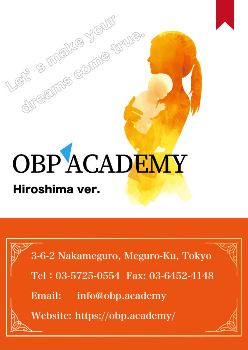# **OBPACADEMY** Hiroshima ver.

directions come farue

3-6-2 Nakameguro, Meguro-Ku, Tokyo

Tel: 03-5725-0554 Fax: 03-6452-4148

Email: info@obp.academy

Website: https://obp.academy/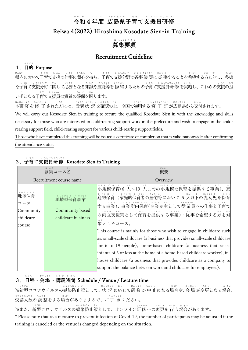# 令和4年度 広島県子育て支援員研修 れ い わ ねん どー ひろしまけん こ そだーーーし えんいんけんしゅう Reiwa 4(2022) Hiroshima Kosodate Sien-in Training

# 募 集 要 項 ぼ しゅうようこう

# Recruitment Guideline

## 1.目的 Purpose もくてき

県内において子育て支援の仕事に関心を持ち、子育て支援分野の各事 業 等に 従 事することを希望する方に対し、多様 けん ない こそだ しえん しごと かんしん も こ そだ ‐ し えんぶん や‐ かく じ ぎょうとう ‐ じゅう じ き ぼう かた たい た よう な子育て支援分野に関して必要となる知識や技能等を 修 得するための子育て支援員研 修 を実施し、これらの支援の担 こ そだ しえんぶん や かん ひつよう ちしき ぎのうとう しゅうとく しょうく こそだ しえんいんけんしゅう じっし し えん にな い手となる子育て支援員の資質の確保を図ります。 て こそだ しえんいん ししつ かくほ はか ほんけんしゅう しゅうりょう かた じゅこうじょうきょう かく にん うえ つう よう しゅうりょうしょう ひろしまけん こう ふ

本研修 を修 了 された方には、受講状 況 を確認の上、全国で通用する修 了 証 が広島県から交付されます。

We will carry out Kosodate Sien-in training to secure the qualified Kosodate Sien-in with the knowledge and skills necessary for those who are interested in child-rearing support work in the prefecture and wish to engage in the childrearing support field, child-rearing support for various child-rearing support fields.

Those who have completed this training will be issued a certificate of completion that is valid nationwide after confirming the attendance status.

| ぼ しゅう<br>募集コース名                                           |                                                  | がいよう<br>概要                                                                                                                                                                                                                                                                                                                                                                                                                                                                                                                                                                                                                                              |  |
|-----------------------------------------------------------|--------------------------------------------------|---------------------------------------------------------------------------------------------------------------------------------------------------------------------------------------------------------------------------------------------------------------------------------------------------------------------------------------------------------------------------------------------------------------------------------------------------------------------------------------------------------------------------------------------------------------------------------------------------------------------------------------------------------|--|
| Recruitment course name                                   |                                                  | Overview                                                                                                                                                                                                                                                                                                                                                                                                                                                                                                                                                                                                                                                |  |
| ちぃきほいく<br>地域保育<br>コース<br>Community<br>childcare<br>course | 地域型保育事業<br>Community based<br>childcare business | しょう き ぼ<br>ほいく<br>ic A<br>ていきょう<br>じ ぎょう<br>小規模保育(6 人~19 人までの小規模な保育を提供する事業)、家<br>(家庭的保育者の居宅等において 5 人以下の乳幼児を保育<br>庭的保育<br> する事業)、事業所内保育(企業が主として従業員への仕事と子育て<br> の両立支援策として保育を提供する事業)に従事を希望する方を対 <br>象としたコース。<br>This course is mainly for those who wish to engage in childcare such<br>as, small-scale childcare (a business that provides small-scale childcare<br>for 6 to 19 people), home-based childcare (a business that raises<br>infants of 5 or less at the home of a home-based childcare worker), in-<br>house childcare (a business that provides childcare as a company to<br>support the balance between work and childcare for employees). |  |

#### 2.子 育 て支 援 員 研 修 Kosodate Sien-in Training こ そ だ し えんいんけんしゅう

### 3.日 程 ・会 場 ・講 義 時 間 Schedule / Venue / Lecture time にってい かいじょう こうぎ じかん

※新型コロナウイルスの感染防止策として、状 況 に応じて研 修 が 中 止になる場合や、会 場 が変更となる場合、 しん がた かんせんぼう し さく じょうきょう おう けんしゅう ちゅうし ば あい かい じょう へん こう ば あい 受 講 人 数 の 調 整 をする場 合 がありますので、ご 了 承 ください。 じゅこうにんずう ちょうせい ばあい りょうしょう

※また、新型コロナウイルスの感染防止策として、オンライン研 修 への変更を 行 う場合があります。 しん がた かんせんぼう し さく

\* Please note that as a measure to prevent infection of Covid-19, the number of participants may be adjusted if the training is canceled or the venue is changed depending on the situation.